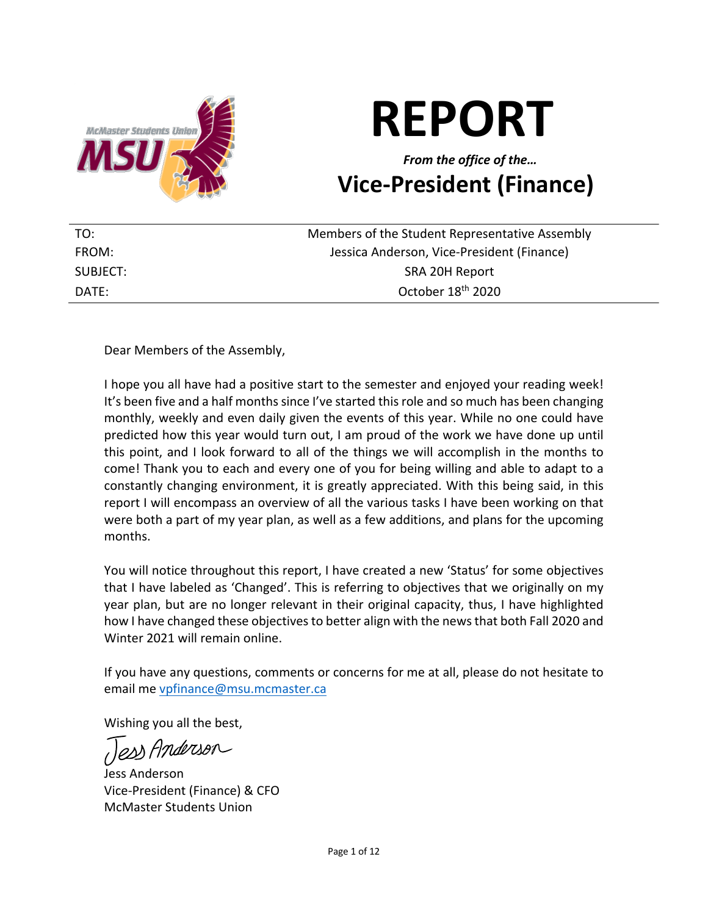

# **REPORT**

# *From the office of the…* **Vice-President (Finance)**

| TO:      | Members of the Student Representative Assembly |
|----------|------------------------------------------------|
| FROM:    | Jessica Anderson, Vice-President (Finance)     |
| SUBJECT: | SRA 20H Report                                 |
| DATE:    | October 18 <sup>th</sup> 2020                  |

#### Dear Members of the Assembly,

I hope you all have had a positive start to the semester and enjoyed your reading week! It's been five and a half months since I've started this role and so much has been changing monthly, weekly and even daily given the events of this year. While no one could have predicted how this year would turn out, I am proud of the work we have done up until this point, and I look forward to all of the things we will accomplish in the months to come! Thank you to each and every one of you for being willing and able to adapt to a constantly changing environment, it is greatly appreciated. With this being said, in this report I will encompass an overview of all the various tasks I have been working on that were both a part of my year plan, as well as a few additions, and plans for the upcoming months.

You will notice throughout this report, I have created a new 'Status' for some objectives that I have labeled as 'Changed'. This is referring to objectives that we originally on my year plan, but are no longer relevant in their original capacity, thus, I have highlighted how I have changed these objectives to better align with the news that both Fall 2020 and Winter 2021 will remain online.

If you have any questions, comments or concerns for me at all, please do not hesitate to email me vpfinance@msu.mcmaster.ca

Wishing you all the best,

Jess Anderson

Jess Anderson Vice-President (Finance) & CFO McMaster Students Union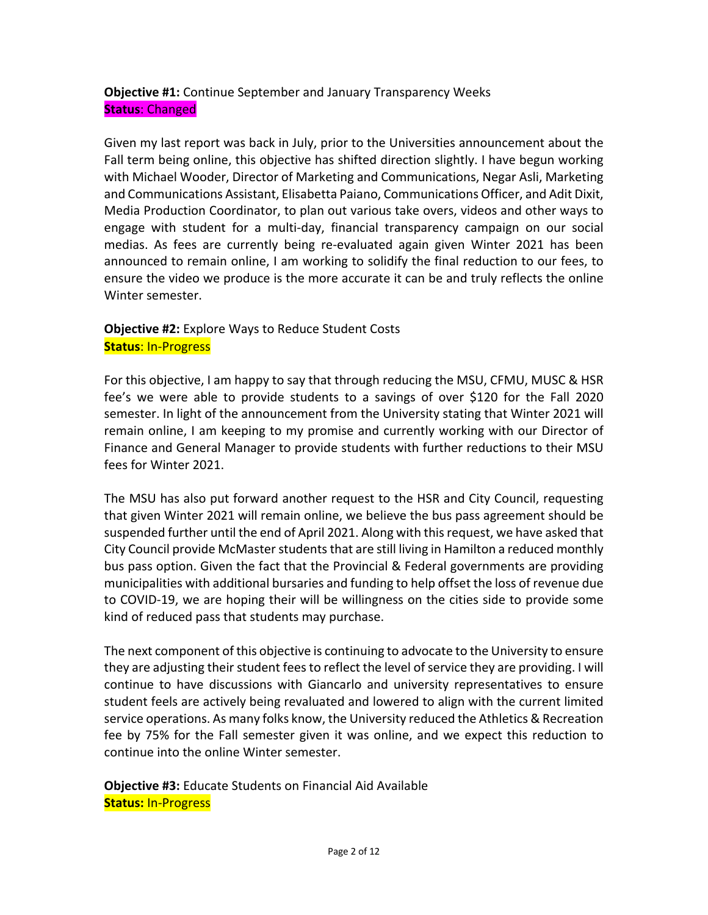# **Objective #1:** Continue September and January Transparency Weeks **Status**: Changed

Given my last report was back in July, prior to the Universities announcement about the Fall term being online, this objective has shifted direction slightly. I have begun working with Michael Wooder, Director of Marketing and Communications, Negar Asli, Marketing and Communications Assistant, Elisabetta Paiano, Communications Officer, and Adit Dixit, Media Production Coordinator, to plan out various take overs, videos and other ways to engage with student for a multi-day, financial transparency campaign on our social medias. As fees are currently being re-evaluated again given Winter 2021 has been announced to remain online, I am working to solidify the final reduction to our fees, to ensure the video we produce is the more accurate it can be and truly reflects the online Winter semester.

#### **Objective #2:** Explore Ways to Reduce Student Costs **Status**: In-Progress

For this objective, I am happy to say that through reducing the MSU, CFMU, MUSC & HSR fee's we were able to provide students to a savings of over \$120 for the Fall 2020 semester. In light of the announcement from the University stating that Winter 2021 will remain online, I am keeping to my promise and currently working with our Director of Finance and General Manager to provide students with further reductions to their MSU fees for Winter 2021.

The MSU has also put forward another request to the HSR and City Council, requesting that given Winter 2021 will remain online, we believe the bus pass agreement should be suspended further until the end of April 2021. Along with this request, we have asked that City Council provide McMaster students that are still living in Hamilton a reduced monthly bus pass option. Given the fact that the Provincial & Federal governments are providing municipalities with additional bursaries and funding to help offset the loss of revenue due to COVID-19, we are hoping their will be willingness on the cities side to provide some kind of reduced pass that students may purchase.

The next component of this objective is continuing to advocate to the University to ensure they are adjusting their student fees to reflect the level of service they are providing. I will continue to have discussions with Giancarlo and university representatives to ensure student feels are actively being revaluated and lowered to align with the current limited service operations. As many folks know, the University reduced the Athletics & Recreation fee by 75% for the Fall semester given it was online, and we expect this reduction to continue into the online Winter semester.

**Objective #3:** Educate Students on Financial Aid Available **Status:** In-Progress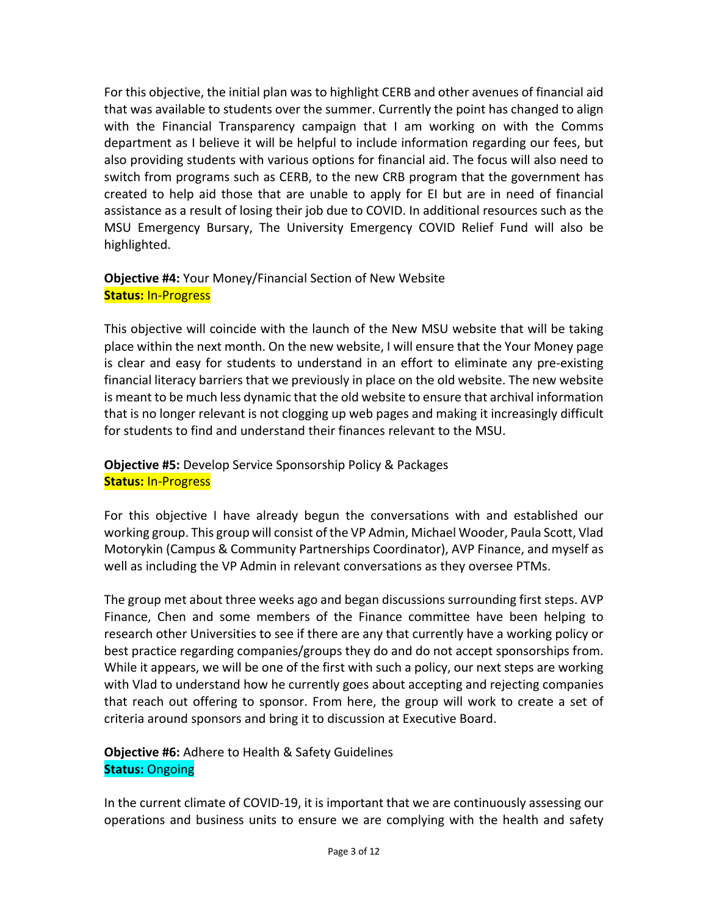For this objective, the initial plan was to highlight CERB and other avenues of financial aid that was available to students over the summer. Currently the point has changed to align with the Financial Transparency campaign that I am working on with the Comms department as I believe it will be helpful to include information regarding our fees, but also providing students with various options for financial aid. The focus will also need to switch from programs such as CERB, to the new CRB program that the government has created to help aid those that are unable to apply for EI but are in need of financial assistance as a result of losing their job due to COVID. In additional resources such as the MSU Emergency Bursary, The University Emergency COVID Relief Fund will also be highlighted.

#### **Objective #4:** Your Money/Financial Section of New Website **Status:** In-Progress

This objective will coincide with the launch of the New MSU website that will be taking place within the next month. On the new website, I will ensure that the Your Money page is clear and easy for students to understand in an effort to eliminate any pre-existing financial literacy barriers that we previously in place on the old website. The new website is meant to be much less dynamic that the old website to ensure that archival information that is no longer relevant is not clogging up web pages and making it increasingly difficult for students to find and understand their finances relevant to the MSU.

# **Objective #5:** Develop Service Sponsorship Policy & Packages **Status:** In-Progress

For this objective I have already begun the conversations with and established our working group. This group will consist of the VP Admin, Michael Wooder, Paula Scott, Vlad Motorykin (Campus & Community Partnerships Coordinator), AVP Finance, and myself as well as including the VP Admin in relevant conversations as they oversee PTMs.

The group met about three weeks ago and began discussions surrounding first steps. AVP Finance, Chen and some members of the Finance committee have been helping to research other Universities to see if there are any that currently have a working policy or best practice regarding companies/groups they do and do not accept sponsorships from. While it appears, we will be one of the first with such a policy, our next steps are working with Vlad to understand how he currently goes about accepting and rejecting companies that reach out offering to sponsor. From here, the group will work to create a set of criteria around sponsors and bring it to discussion at Executive Board.

# **Objective #6:** Adhere to Health & Safety Guidelines **Status:** Ongoing

In the current climate of COVID-19, it is important that we are continuously assessing our operations and business units to ensure we are complying with the health and safety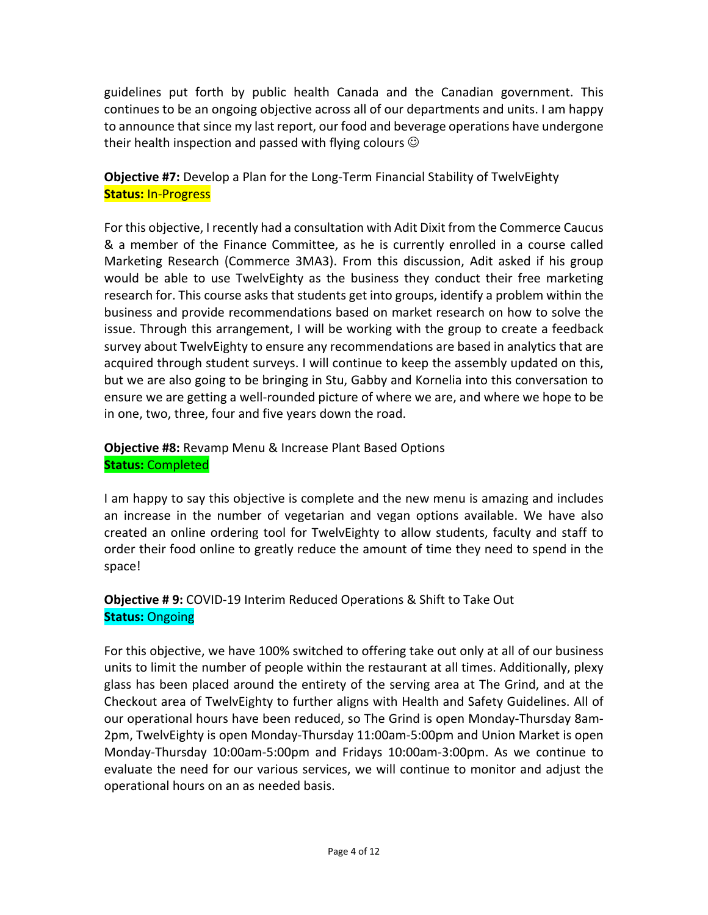guidelines put forth by public health Canada and the Canadian government. This continues to be an ongoing objective across all of our departments and units. I am happy to announce that since my last report, our food and beverage operations have undergone their health inspection and passed with flying colours  $\odot$ 

**Objective #7:** Develop a Plan for the Long-Term Financial Stability of TwelvEighty **Status:** In-Progress

For this objective, I recently had a consultation with Adit Dixit from the Commerce Caucus & a member of the Finance Committee, as he is currently enrolled in a course called Marketing Research (Commerce 3MA3). From this discussion, Adit asked if his group would be able to use TwelvEighty as the business they conduct their free marketing research for. This course asks that students get into groups, identify a problem within the business and provide recommendations based on market research on how to solve the issue. Through this arrangement, I will be working with the group to create a feedback survey about TwelvEighty to ensure any recommendations are based in analytics that are acquired through student surveys. I will continue to keep the assembly updated on this, but we are also going to be bringing in Stu, Gabby and Kornelia into this conversation to ensure we are getting a well-rounded picture of where we are, and where we hope to be in one, two, three, four and five years down the road.

**Objective #8:** Revamp Menu & Increase Plant Based Options **Status:** Completed

I am happy to say this objective is complete and the new menu is amazing and includes an increase in the number of vegetarian and vegan options available. We have also created an online ordering tool for TwelvEighty to allow students, faculty and staff to order their food online to greatly reduce the amount of time they need to spend in the space!

**Objective # 9:** COVID-19 Interim Reduced Operations & Shift to Take Out **Status:** Ongoing

For this objective, we have 100% switched to offering take out only at all of our business units to limit the number of people within the restaurant at all times. Additionally, plexy glass has been placed around the entirety of the serving area at The Grind, and at the Checkout area of TwelvEighty to further aligns with Health and Safety Guidelines. All of our operational hours have been reduced, so The Grind is open Monday-Thursday 8am-2pm, TwelvEighty is open Monday-Thursday 11:00am-5:00pm and Union Market is open Monday-Thursday 10:00am-5:00pm and Fridays 10:00am-3:00pm. As we continue to evaluate the need for our various services, we will continue to monitor and adjust the operational hours on an as needed basis.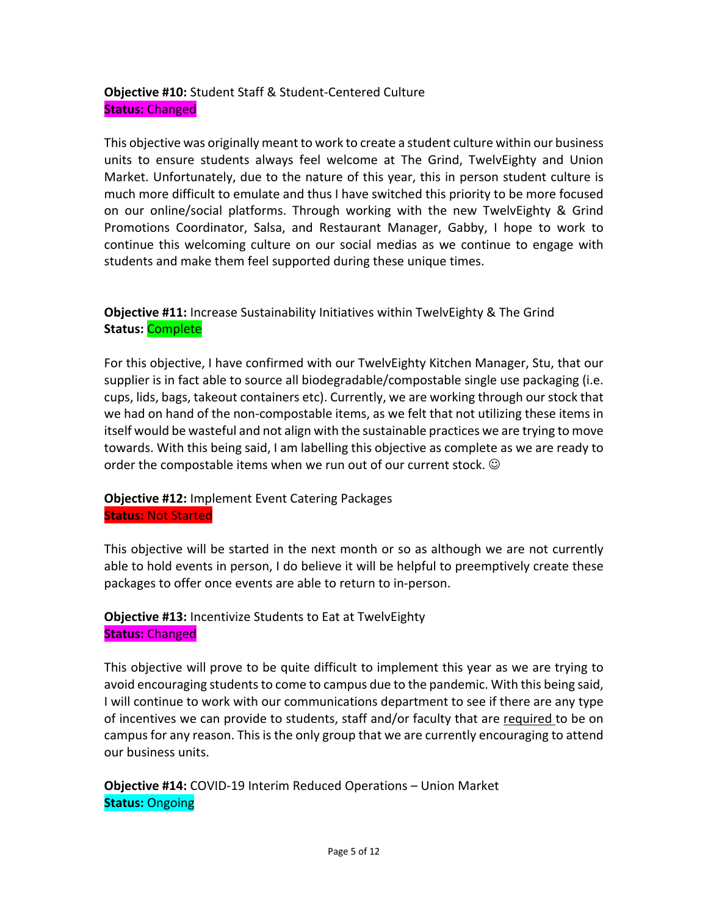# **Objective #10:** Student Staff & Student-Centered Culture **Status:** Changed

This objective was originally meant to work to create a student culture within our business units to ensure students always feel welcome at The Grind, TwelvEighty and Union Market. Unfortunately, due to the nature of this year, this in person student culture is much more difficult to emulate and thus I have switched this priority to be more focused on our online/social platforms. Through working with the new TwelvEighty & Grind Promotions Coordinator, Salsa, and Restaurant Manager, Gabby, I hope to work to continue this welcoming culture on our social medias as we continue to engage with students and make them feel supported during these unique times.

#### **Objective #11:** Increase Sustainability Initiatives within TwelvEighty & The Grind **Status:** Complete

For this objective, I have confirmed with our TwelvEighty Kitchen Manager, Stu, that our supplier is in fact able to source all biodegradable/compostable single use packaging (i.e. cups, lids, bags, takeout containers etc). Currently, we are working through our stock that we had on hand of the non-compostable items, as we felt that not utilizing these items in itself would be wasteful and not align with the sustainable practices we are trying to move towards. With this being said, I am labelling this objective as complete as we are ready to order the compostable items when we run out of our current stock.  $\odot$ 

#### **Objective #12:** Implement Event Catering Packages **Status:** Not Started

This objective will be started in the next month or so as although we are not currently able to hold events in person, I do believe it will be helpful to preemptively create these packages to offer once events are able to return to in-person.

#### **Objective #13:** Incentivize Students to Eat at TwelvEighty **Status:** Changed

This objective will prove to be quite difficult to implement this year as we are trying to avoid encouraging students to come to campus due to the pandemic. With this being said, I will continue to work with our communications department to see if there are any type of incentives we can provide to students, staff and/or faculty that are required to be on campus for any reason. This is the only group that we are currently encouraging to attend our business units.

**Objective #14:** COVID-19 Interim Reduced Operations – Union Market **Status:** Ongoing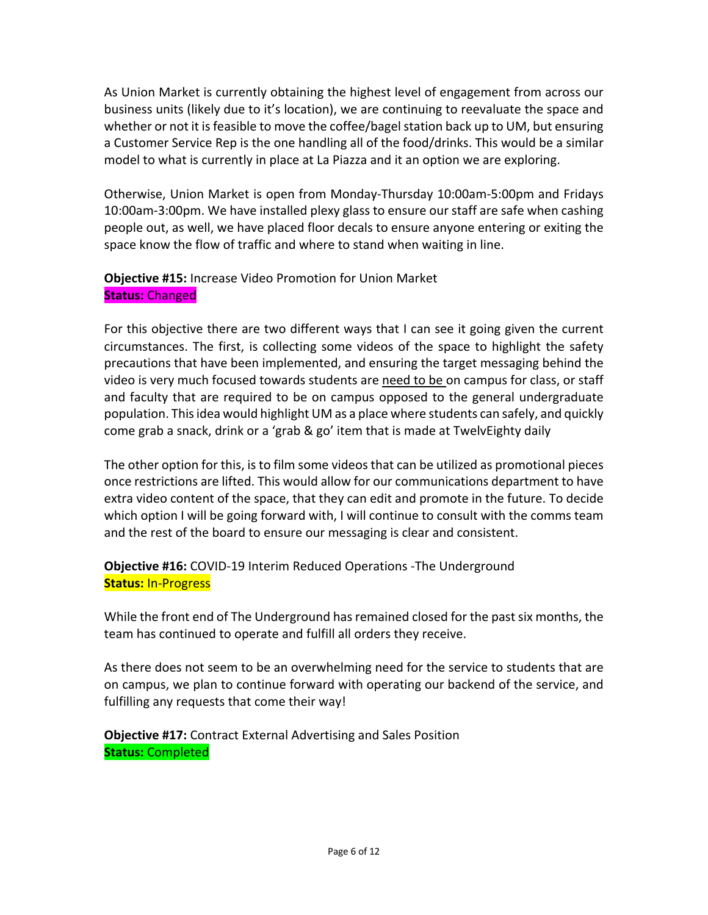As Union Market is currently obtaining the highest level of engagement from across our business units (likely due to it's location), we are continuing to reevaluate the space and whether or not it is feasible to move the coffee/bagel station back up to UM, but ensuring a Customer Service Rep is the one handling all of the food/drinks. This would be a similar model to what is currently in place at La Piazza and it an option we are exploring.

Otherwise, Union Market is open from Monday-Thursday 10:00am-5:00pm and Fridays 10:00am-3:00pm. We have installed plexy glass to ensure our staff are safe when cashing people out, as well, we have placed floor decals to ensure anyone entering or exiting the space know the flow of traffic and where to stand when waiting in line.

#### **Objective #15:** Increase Video Promotion for Union Market **Status:** Changed

For this objective there are two different ways that I can see it going given the current circumstances. The first, is collecting some videos of the space to highlight the safety precautions that have been implemented, and ensuring the target messaging behind the video is very much focused towards students are need to be on campus for class, or staff and faculty that are required to be on campus opposed to the general undergraduate population. This idea would highlight UM as a place where students can safely, and quickly come grab a snack, drink or a 'grab & go' item that is made at TwelvEighty daily

The other option for this, is to film some videos that can be utilized as promotional pieces once restrictions are lifted. This would allow for our communications department to have extra video content of the space, that they can edit and promote in the future. To decide which option I will be going forward with, I will continue to consult with the comms team and the rest of the board to ensure our messaging is clear and consistent.

**Objective #16:** COVID-19 Interim Reduced Operations -The Underground **Status:** In-Progress

While the front end of The Underground has remained closed for the past six months, the team has continued to operate and fulfill all orders they receive.

As there does not seem to be an overwhelming need for the service to students that are on campus, we plan to continue forward with operating our backend of the service, and fulfilling any requests that come their way!

**Objective #17:** Contract External Advertising and Sales Position **Status:** Completed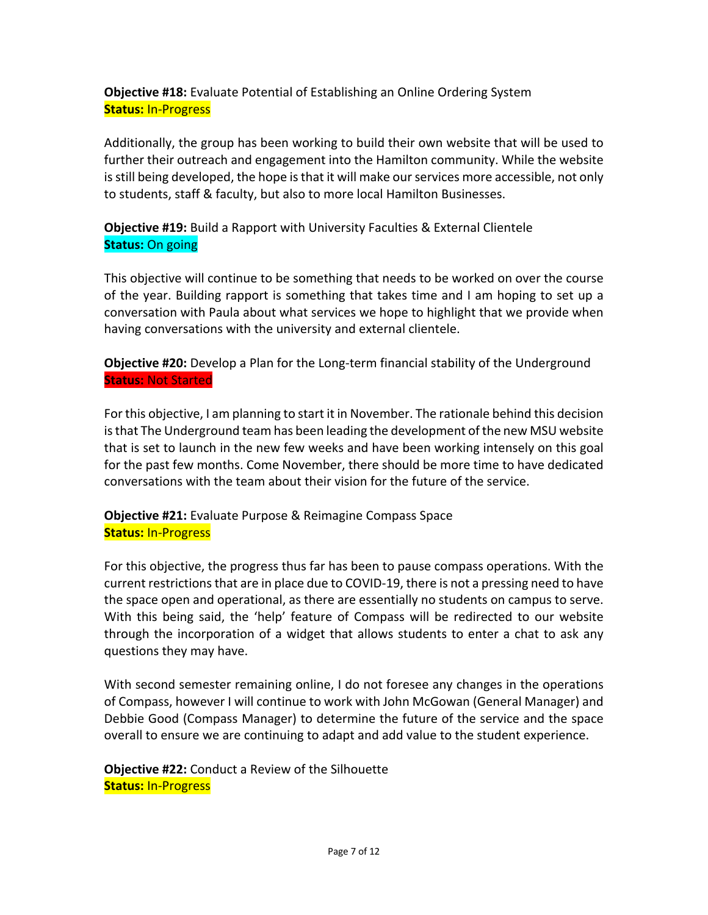**Objective #18:** Evaluate Potential of Establishing an Online Ordering System **Status:** In-Progress

Additionally, the group has been working to build their own website that will be used to further their outreach and engagement into the Hamilton community. While the website is still being developed, the hope is that it will make our services more accessible, not only to students, staff & faculty, but also to more local Hamilton Businesses.

**Objective #19:** Build a Rapport with University Faculties & External Clientele **Status:** On going

This objective will continue to be something that needs to be worked on over the course of the year. Building rapport is something that takes time and I am hoping to set up a conversation with Paula about what services we hope to highlight that we provide when having conversations with the university and external clientele.

**Objective #20:** Develop a Plan for the Long-term financial stability of the Underground **Status:** Not Started

For this objective, I am planning to start it in November. The rationale behind this decision is that The Underground team has been leading the development of the new MSU website that is set to launch in the new few weeks and have been working intensely on this goal for the past few months. Come November, there should be more time to have dedicated conversations with the team about their vision for the future of the service.

**Objective #21:** Evaluate Purpose & Reimagine Compass Space **Status:** In-Progress

For this objective, the progress thus far has been to pause compass operations. With the current restrictions that are in place due to COVID-19, there is not a pressing need to have the space open and operational, as there are essentially no students on campus to serve. With this being said, the 'help' feature of Compass will be redirected to our website through the incorporation of a widget that allows students to enter a chat to ask any questions they may have.

With second semester remaining online, I do not foresee any changes in the operations of Compass, however I will continue to work with John McGowan (General Manager) and Debbie Good (Compass Manager) to determine the future of the service and the space overall to ensure we are continuing to adapt and add value to the student experience.

**Objective #22:** Conduct a Review of the Silhouette **Status:** In-Progress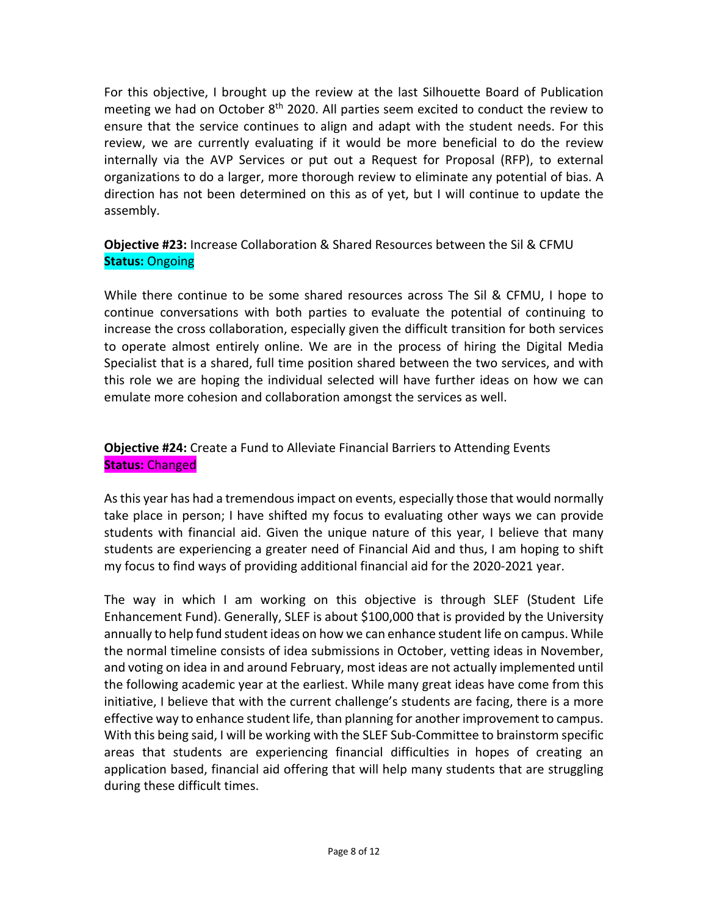For this objective, I brought up the review at the last Silhouette Board of Publication meeting we had on October 8<sup>th</sup> 2020. All parties seem excited to conduct the review to ensure that the service continues to align and adapt with the student needs. For this review, we are currently evaluating if it would be more beneficial to do the review internally via the AVP Services or put out a Request for Proposal (RFP), to external organizations to do a larger, more thorough review to eliminate any potential of bias. A direction has not been determined on this as of yet, but I will continue to update the assembly.

**Objective #23:** Increase Collaboration & Shared Resources between the Sil & CFMU **Status:** Ongoing

While there continue to be some shared resources across The Sil & CFMU, I hope to continue conversations with both parties to evaluate the potential of continuing to increase the cross collaboration, especially given the difficult transition for both services to operate almost entirely online. We are in the process of hiring the Digital Media Specialist that is a shared, full time position shared between the two services, and with this role we are hoping the individual selected will have further ideas on how we can emulate more cohesion and collaboration amongst the services as well.

# **Objective #24:** Create a Fund to Alleviate Financial Barriers to Attending Events **Status:** Changed

As this year has had a tremendous impact on events, especially those that would normally take place in person; I have shifted my focus to evaluating other ways we can provide students with financial aid. Given the unique nature of this year, I believe that many students are experiencing a greater need of Financial Aid and thus, I am hoping to shift my focus to find ways of providing additional financial aid for the 2020-2021 year.

The way in which I am working on this objective is through SLEF (Student Life Enhancement Fund). Generally, SLEF is about \$100,000 that is provided by the University annually to help fund student ideas on how we can enhance student life on campus. While the normal timeline consists of idea submissions in October, vetting ideas in November, and voting on idea in and around February, most ideas are not actually implemented until the following academic year at the earliest. While many great ideas have come from this initiative, I believe that with the current challenge's students are facing, there is a more effective way to enhance student life, than planning for another improvement to campus. With this being said, I will be working with the SLEF Sub-Committee to brainstorm specific areas that students are experiencing financial difficulties in hopes of creating an application based, financial aid offering that will help many students that are struggling during these difficult times.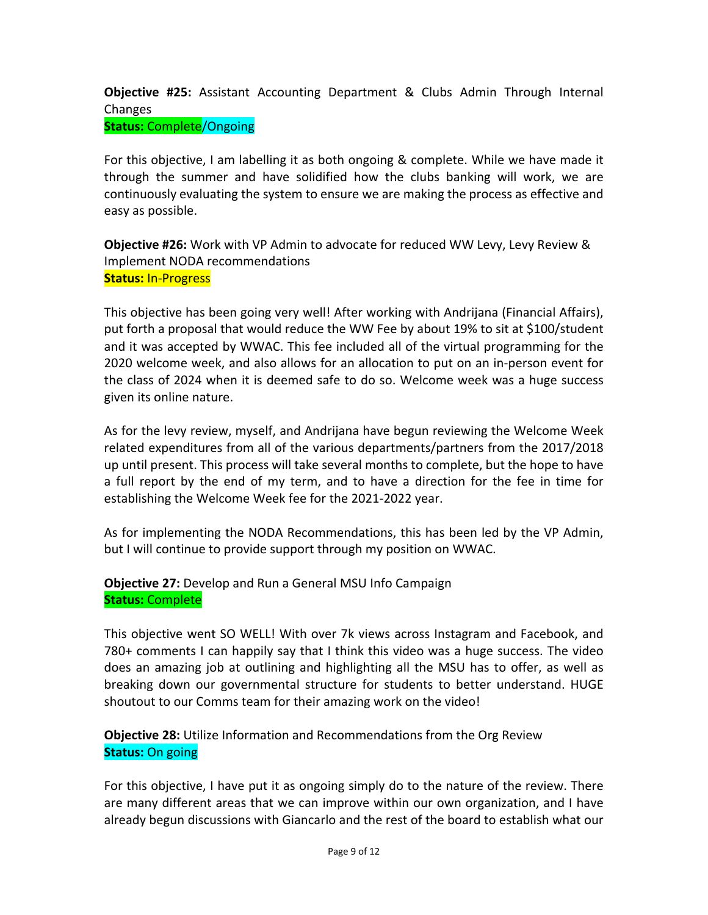**Objective #25:** Assistant Accounting Department & Clubs Admin Through Internal Changes

**Status:** Complete/Ongoing

For this objective, I am labelling it as both ongoing & complete. While we have made it through the summer and have solidified how the clubs banking will work, we are continuously evaluating the system to ensure we are making the process as effective and easy as possible.

**Objective #26:** Work with VP Admin to advocate for reduced WW Levy, Levy Review & Implement NODA recommendations **Status:** In-Progress

This objective has been going very well! After working with Andrijana (Financial Affairs), put forth a proposal that would reduce the WW Fee by about 19% to sit at \$100/student and it was accepted by WWAC. This fee included all of the virtual programming for the 2020 welcome week, and also allows for an allocation to put on an in-person event for the class of 2024 when it is deemed safe to do so. Welcome week was a huge success given its online nature.

As for the levy review, myself, and Andrijana have begun reviewing the Welcome Week related expenditures from all of the various departments/partners from the 2017/2018 up until present. This process will take several months to complete, but the hope to have a full report by the end of my term, and to have a direction for the fee in time for establishing the Welcome Week fee for the 2021-2022 year.

As for implementing the NODA Recommendations, this has been led by the VP Admin, but I will continue to provide support through my position on WWAC.

**Objective 27:** Develop and Run a General MSU Info Campaign **Status:** Complete

This objective went SO WELL! With over 7k views across Instagram and Facebook, and 780+ comments I can happily say that I think this video was a huge success. The video does an amazing job at outlining and highlighting all the MSU has to offer, as well as breaking down our governmental structure for students to better understand. HUGE shoutout to our Comms team for their amazing work on the video!

**Objective 28:** Utilize Information and Recommendations from the Org Review **Status:** On going

For this objective, I have put it as ongoing simply do to the nature of the review. There are many different areas that we can improve within our own organization, and I have already begun discussions with Giancarlo and the rest of the board to establish what our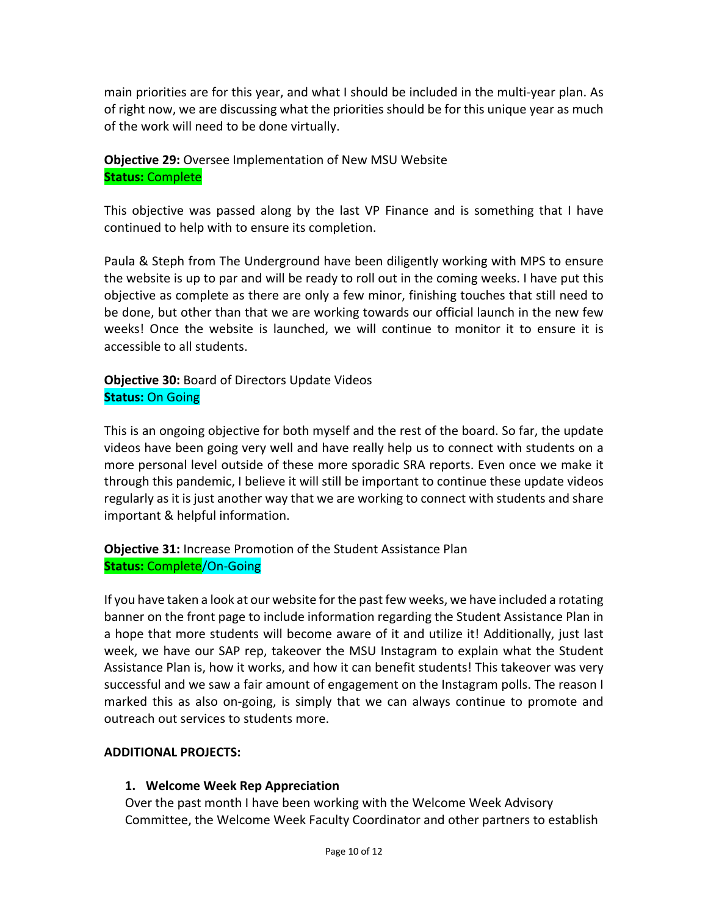main priorities are for this year, and what I should be included in the multi-year plan. As of right now, we are discussing what the priorities should be for this unique year as much of the work will need to be done virtually.

**Objective 29:** Oversee Implementation of New MSU Website **Status:** Complete

This objective was passed along by the last VP Finance and is something that I have continued to help with to ensure its completion.

Paula & Steph from The Underground have been diligently working with MPS to ensure the website is up to par and will be ready to roll out in the coming weeks. I have put this objective as complete as there are only a few minor, finishing touches that still need to be done, but other than that we are working towards our official launch in the new few weeks! Once the website is launched, we will continue to monitor it to ensure it is accessible to all students.

**Objective 30:** Board of Directors Update Videos **Status:** On Going

This is an ongoing objective for both myself and the rest of the board. So far, the update videos have been going very well and have really help us to connect with students on a more personal level outside of these more sporadic SRA reports. Even once we make it through this pandemic, I believe it will still be important to continue these update videos regularly as it is just another way that we are working to connect with students and share important & helpful information.

**Objective 31:** Increase Promotion of the Student Assistance Plan **Status:** Complete/On-Going

If you have taken a look at our website for the past few weeks, we have included a rotating banner on the front page to include information regarding the Student Assistance Plan in a hope that more students will become aware of it and utilize it! Additionally, just last week, we have our SAP rep, takeover the MSU Instagram to explain what the Student Assistance Plan is, how it works, and how it can benefit students! This takeover was very successful and we saw a fair amount of engagement on the Instagram polls. The reason I marked this as also on-going, is simply that we can always continue to promote and outreach out services to students more.

#### **ADDITIONAL PROJECTS:**

#### **1. Welcome Week Rep Appreciation**

Over the past month I have been working with the Welcome Week Advisory Committee, the Welcome Week Faculty Coordinator and other partners to establish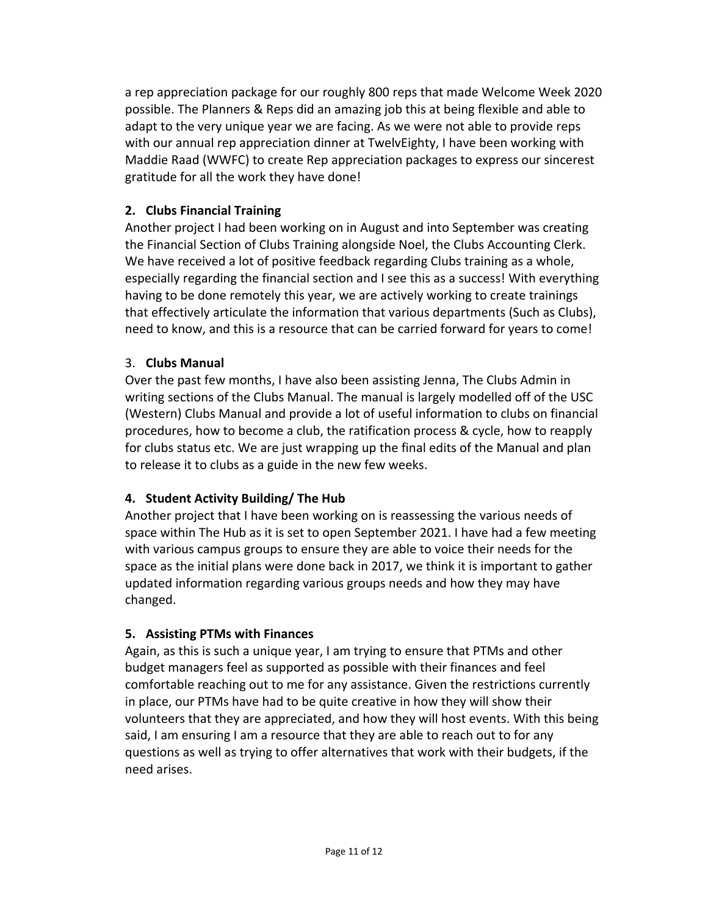a rep appreciation package for our roughly 800 reps that made Welcome Week 2020 possible. The Planners & Reps did an amazing job this at being flexible and able to adapt to the very unique year we are facing. As we were not able to provide reps with our annual rep appreciation dinner at TwelvEighty, I have been working with Maddie Raad (WWFC) to create Rep appreciation packages to express our sincerest gratitude for all the work they have done!

# **2. Clubs Financial Training**

Another project I had been working on in August and into September was creating the Financial Section of Clubs Training alongside Noel, the Clubs Accounting Clerk. We have received a lot of positive feedback regarding Clubs training as a whole, especially regarding the financial section and I see this as a success! With everything having to be done remotely this year, we are actively working to create trainings that effectively articulate the information that various departments (Such as Clubs), need to know, and this is a resource that can be carried forward for years to come!

# 3. **Clubs Manual**

Over the past few months, I have also been assisting Jenna, The Clubs Admin in writing sections of the Clubs Manual. The manual is largely modelled off of the USC (Western) Clubs Manual and provide a lot of useful information to clubs on financial procedures, how to become a club, the ratification process & cycle, how to reapply for clubs status etc. We are just wrapping up the final edits of the Manual and plan to release it to clubs as a guide in the new few weeks.

# **4. Student Activity Building/ The Hub**

Another project that I have been working on is reassessing the various needs of space within The Hub as it is set to open September 2021. I have had a few meeting with various campus groups to ensure they are able to voice their needs for the space as the initial plans were done back in 2017, we think it is important to gather updated information regarding various groups needs and how they may have changed.

# **5. Assisting PTMs with Finances**

Again, as this is such a unique year, I am trying to ensure that PTMs and other budget managers feel as supported as possible with their finances and feel comfortable reaching out to me for any assistance. Given the restrictions currently in place, our PTMs have had to be quite creative in how they will show their volunteers that they are appreciated, and how they will host events. With this being said, I am ensuring I am a resource that they are able to reach out to for any questions as well as trying to offer alternatives that work with their budgets, if the need arises.